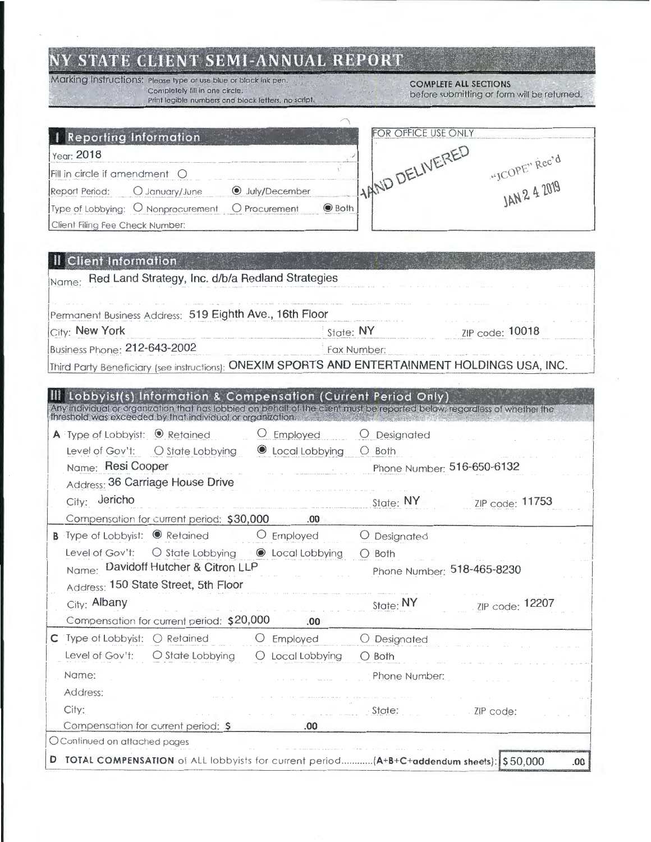## NY STATE CLIENT SEMI-ANNUAL REPORT

Marking Instructions: Please type or use blue or black ink pen. Completely fill in one circle.<br>Print legible numbers and block letters, no script.

**COMPLETE ALL SECTIONS** before submitting or form will be returned.

| Reporting Information                  |                                    |                      |              | OR OFFICE USE ONLY |               |
|----------------------------------------|------------------------------------|----------------------|--------------|--------------------|---------------|
| Year: 2018                             |                                    |                      |              |                    |               |
| Fill in circle if amendment $\bigcirc$ |                                    |                      |              | LARND DELIVERED    | "ICOPE" Rec'd |
| Report Period:                         | (C) January/June                   | <b>July/December</b> |              |                    | LAN 2 4 2019  |
|                                        | Type of Lobbying: O Nonprocurement | O Procurement        | $\odot$ Both |                    |               |
| Client Filing Fee Check Number:        |                                    |                      |              |                    |               |

|  | <b>II Client Information</b> |  |  |  |
|--|------------------------------|--|--|--|
|  |                              |  |  |  |

| <u>Literature and the communication of the communication</u><br>Red Land Strategy, Inc. d/b/a Redland Strategies<br>Name:                                                                                                                      |                              |  |  |  |
|------------------------------------------------------------------------------------------------------------------------------------------------------------------------------------------------------------------------------------------------|------------------------------|--|--|--|
|                                                                                                                                                                                                                                                |                              |  |  |  |
| Permanent Business Address: 519 Eighth Ave., 16th Floor                                                                                                                                                                                        |                              |  |  |  |
| City: New York                                                                                                                                                                                                                                 | State: NY<br>ZIP code: 10018 |  |  |  |
| Business Phone: 212-643-2002                                                                                                                                                                                                                   | Fax Number:                  |  |  |  |
| Third Party Beneficiary (see instructions): ONEXIM SPORTS AND ENTERTAINMENT HOLDINGS USA, INC.                                                                                                                                                 |                              |  |  |  |
|                                                                                                                                                                                                                                                |                              |  |  |  |
| Lobbyist(s) Information & Compensation (Current Period Only)<br>Any individual or organization that has lobbied on behalf of the client must be reported below regardless of whether the<br>threshold was exceeded by that individual or organ |                              |  |  |  |
| A Type of Lobbyist: <sup>O</sup> Retained<br>$O$ Employed                                                                                                                                                                                      | O Designated                 |  |  |  |
| C Local Lobbying<br>Level of Gov't:<br>O State Lobbying                                                                                                                                                                                        | $\bigcirc$ Both              |  |  |  |
| Name: Resi Cooper                                                                                                                                                                                                                              | Phone Number: 516-650-6132   |  |  |  |
| Address: 36 Carriage House Drive                                                                                                                                                                                                               |                              |  |  |  |
| City: Jericho                                                                                                                                                                                                                                  | State: NY<br>ZIP code: 11753 |  |  |  |
| Compensation for current period: \$30,000<br>.00                                                                                                                                                                                               |                              |  |  |  |
| <b>B</b> Type of Lobbyist: <sup>©</sup> Retained<br>$O$ Employed                                                                                                                                                                               | O Designated                 |  |  |  |
| C Local Lobbying<br>Level of Gov't:<br>O State Lobbying                                                                                                                                                                                        | $O$ Both                     |  |  |  |
| Name: Davidoff Hutcher & Citron LLP                                                                                                                                                                                                            | Phone Number: 518-465-8230   |  |  |  |
| Address: 150 State Street, 5th Floor                                                                                                                                                                                                           |                              |  |  |  |
| City: Albany                                                                                                                                                                                                                                   | State: NY<br>ZIP code: 12207 |  |  |  |
| Compensation for current period: \$20,000<br>.00                                                                                                                                                                                               |                              |  |  |  |
| $C$ Type of Lobbyist: $O$ Retained<br>O Employed                                                                                                                                                                                               | O Designated                 |  |  |  |
| Level of Gov't:<br>O State Lobbying<br>O Local Lobbying                                                                                                                                                                                        | $\bigcirc$ Both              |  |  |  |
| Name:                                                                                                                                                                                                                                          | Phone Number:                |  |  |  |
| Address:                                                                                                                                                                                                                                       |                              |  |  |  |
| City:                                                                                                                                                                                                                                          | State:<br>ZIP code:          |  |  |  |
| Compensation for current period: \$<br>.00                                                                                                                                                                                                     |                              |  |  |  |
| O Continued on attached pages                                                                                                                                                                                                                  |                              |  |  |  |
| D TOTAL COMPENSATION of ALL lobbyists for current period (A+B+C+addendum sheets): \$50,000                                                                                                                                                     | .00.                         |  |  |  |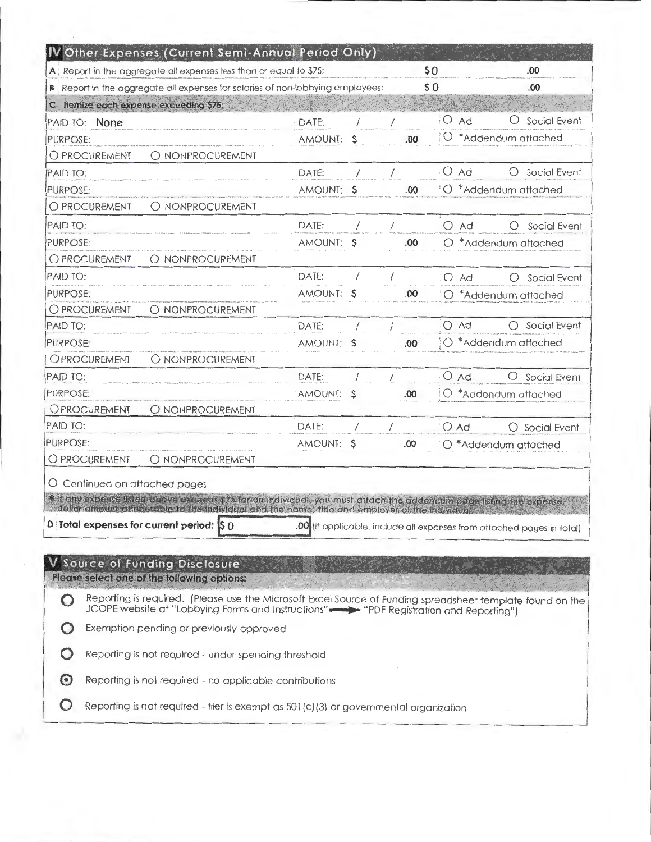| IV Other Expenses (Current Semi-Annual Period Only)                                                                                                                                                                                                                                                  |            |    |            |                                              |                                                                        |
|------------------------------------------------------------------------------------------------------------------------------------------------------------------------------------------------------------------------------------------------------------------------------------------------------|------------|----|------------|----------------------------------------------|------------------------------------------------------------------------|
| A Report in the aggregate all expenses less than or equal to \$75:                                                                                                                                                                                                                                   |            |    |            | \$0                                          | .00                                                                    |
| B Report in the aggregate all expenses for salaries of non-lobbying employees:                                                                                                                                                                                                                       |            |    |            | \$0                                          | .00.                                                                   |
| C. Itemize each expense exceeding \$75:                                                                                                                                                                                                                                                              |            |    |            |                                              |                                                                        |
| PAID TO: None                                                                                                                                                                                                                                                                                        | DATE:      |    |            | $\bigcirc$<br>Ad                             | Social Event                                                           |
| <b>PURPOSE:</b>                                                                                                                                                                                                                                                                                      | AMOUNT:    | S  | .00        |                                              | O *Addendum attached                                                   |
| O PROCUREMENT<br>O NONPROCUREMENT                                                                                                                                                                                                                                                                    |            |    |            |                                              |                                                                        |
| PAID TO:                                                                                                                                                                                                                                                                                             | DATE:      |    |            | $O$ Ad                                       | Social Event                                                           |
| <b>PURPOSE:</b>                                                                                                                                                                                                                                                                                      | AMOUNT: \$ |    | .00        |                                              | O *Addendum attached                                                   |
| O NONPROCUREMENT<br>O PROCUREMENT                                                                                                                                                                                                                                                                    |            |    |            |                                              |                                                                        |
| PAID TO:                                                                                                                                                                                                                                                                                             | DATE:      |    |            | $O$ Ad                                       | Social Event<br>$\bigcirc$                                             |
| PURPOSE:                                                                                                                                                                                                                                                                                             | AMOUNT: S  |    | .00        |                                              | $O$ *Addendum attached                                                 |
| O NONPROCUREMENT<br>O PROCUREMENT                                                                                                                                                                                                                                                                    |            |    |            |                                              |                                                                        |
| PAID TO:                                                                                                                                                                                                                                                                                             | DATF:      |    |            | $\overline{A}$ $\overline{A}$ $\overline{A}$ | $\bigcap$ Social Event                                                 |
| <b>PURPOSE:</b>                                                                                                                                                                                                                                                                                      | AMOUNT:    | S  | .00        |                                              | O *Addendum attached                                                   |
| O NONPROCUREMENT<br>O PROCUREMENT                                                                                                                                                                                                                                                                    |            |    |            |                                              |                                                                        |
| PAID TO:                                                                                                                                                                                                                                                                                             | DATE:      |    |            | $O$ Ad                                       | Social Event<br>∩                                                      |
| PURPOSE:                                                                                                                                                                                                                                                                                             | AMOUNT:    | -S | .00.       |                                              | $\bigcirc$ *Addendum attached                                          |
| O NONPROCUREMENT<br>OPROCUREMENT                                                                                                                                                                                                                                                                     |            |    |            |                                              |                                                                        |
| PAID TO:                                                                                                                                                                                                                                                                                             | DATE:      |    |            | $O$ Ad                                       | $\bigcirc$<br>Social Event                                             |
| PURPOSE:                                                                                                                                                                                                                                                                                             | AMOUNT:    | Ş  | .00.       |                                              | $\bigcirc$ *Addendum attached                                          |
| OPROCUREMENT<br>O NONPROCUREMENT                                                                                                                                                                                                                                                                     |            |    |            |                                              |                                                                        |
| PAID TO:                                                                                                                                                                                                                                                                                             | DATE:      |    | $\sqrt{2}$ | $O$ Ad                                       | O Social Event                                                         |
| PURPOSE:                                                                                                                                                                                                                                                                                             | AMOUNT: \$ |    | .00        |                                              | O *Addendum attached                                                   |
| O PROCUREMENT<br>O NONPROCUREMENT                                                                                                                                                                                                                                                                    |            |    |            |                                              |                                                                        |
| O Continued on attached pages<br>* If any expense isted above exceeds \$75 for an individual, you must attach the addendum page listing the expense,<br>dollar ambust difficult bie in the individual and the name, title and employer of the individual<br>D Total expenses for current period: S 0 |            |    |            |                                              | .00 (if applicable, include all expenses from attached pages in total) |
| Source of Funding Disclosure<br>Please select one of the following options:                                                                                                                                                                                                                          |            |    |            |                                              |                                                                        |
| Reporting is required. (Please use the Microsoft Excel Source of Funding spreadsheet template found on the<br>JCOPE website at "Lobbying Forms and Instructions" - "PDF Registration and Reporting")                                                                                                 |            |    |            |                                              |                                                                        |
| Exemption pending or previously approved                                                                                                                                                                                                                                                             |            |    |            |                                              |                                                                        |
| Reporting is not required - under spending threshold                                                                                                                                                                                                                                                 |            |    |            |                                              |                                                                        |
| Reporting is not required - no applicable contributions                                                                                                                                                                                                                                              |            |    |            |                                              |                                                                        |
| Reporting is not required - filer is exempt as 501(c)(3) or governmental organization                                                                                                                                                                                                                |            |    |            |                                              |                                                                        |